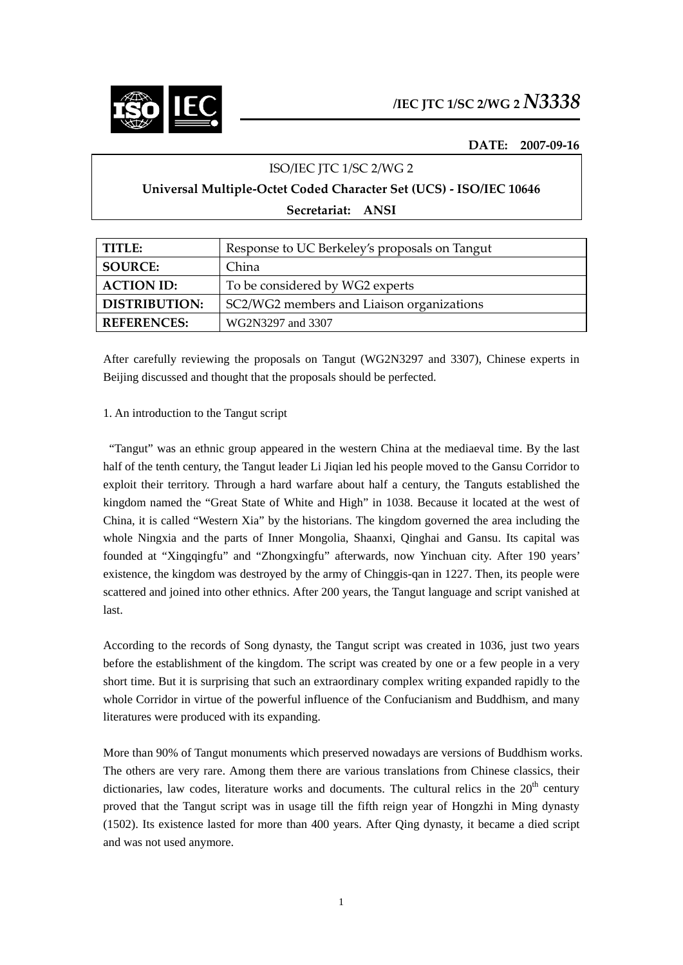

## **DATE: 2007‐09‐16**

## ISO/IEC JTC 1/SC 2/WG 2

# **Universal Multiple‐Octet Coded Character Set (UCS) ‐ ISO/IEC 10646**

**Secretariat: ANSI**

| TITLE:               | Response to UC Berkeley's proposals on Tangut |
|----------------------|-----------------------------------------------|
| <b>SOURCE:</b>       | China                                         |
| <b>ACTION ID:</b>    | To be considered by WG2 experts               |
| <b>DISTRIBUTION:</b> | SC2/WG2 members and Liaison organizations     |
| <b>REFERENCES:</b>   | WG2N3297 and 3307                             |

After carefully reviewing the proposals on Tangut (WG2N3297 and 3307), Chinese experts in Beijing discussed and thought that the proposals should be perfected.

## 1. An introduction to the Tangut script

 "Tangut" was an ethnic group appeared in the western China at the mediaeval time. By the last half of the tenth century, the Tangut leader Li Jiqian led his people moved to the Gansu Corridor to exploit their territory. Through a hard warfare about half a century, the Tanguts established the kingdom named the "Great State of White and High" in 1038. Because it located at the west of China, it is called "Western Xia" by the historians. The kingdom governed the area including the whole Ningxia and the parts of Inner Mongolia, Shaanxi, Qinghai and Gansu. Its capital was founded at "Xingqingfu" and "Zhongxingfu" afterwards, now Yinchuan city. After 190 years' existence, the kingdom was destroyed by the army of Chinggis-qan in 1227. Then, its people were scattered and joined into other ethnics. After 200 years, the Tangut language and script vanished at last.

According to the records of Song dynasty, the Tangut script was created in 1036, just two years before the establishment of the kingdom. The script was created by one or a few people in a very short time. But it is surprising that such an extraordinary complex writing expanded rapidly to the whole Corridor in virtue of the powerful influence of the Confucianism and Buddhism, and many literatures were produced with its expanding.

More than 90% of Tangut monuments which preserved nowadays are versions of Buddhism works. The others are very rare. Among them there are various translations from Chinese classics, their dictionaries, law codes, literature works and documents. The cultural relics in the  $20<sup>th</sup>$  century proved that the Tangut script was in usage till the fifth reign year of Hongzhi in Ming dynasty (1502). Its existence lasted for more than 400 years. After Qing dynasty, it became a died script and was not used anymore.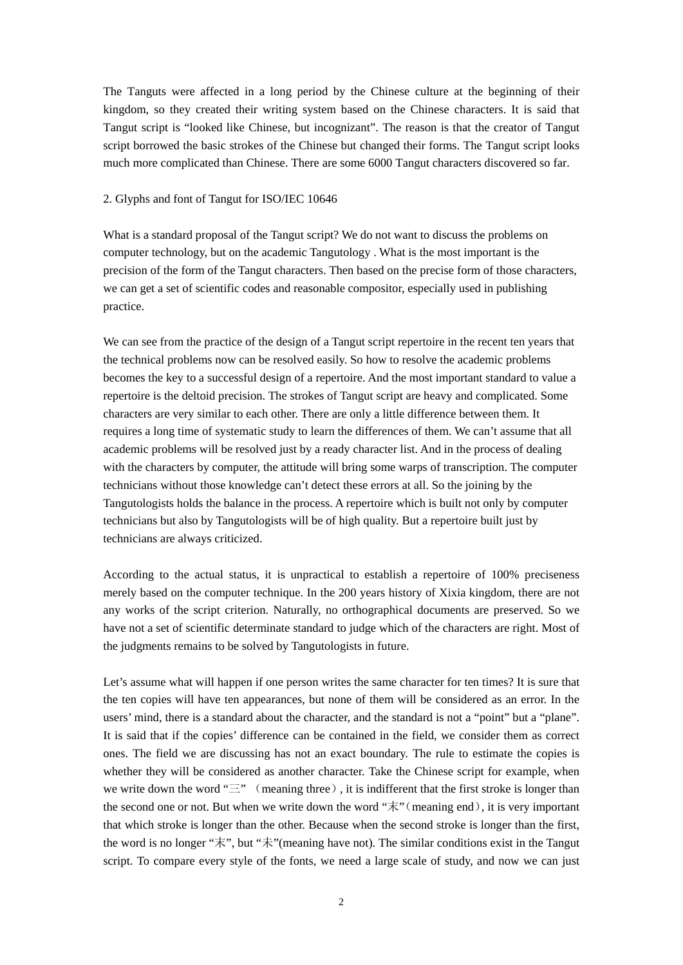The Tanguts were affected in a long period by the Chinese culture at the beginning of their kingdom, so they created their writing system based on the Chinese characters. It is said that Tangut script is "looked like Chinese, but incognizant". The reason is that the creator of Tangut script borrowed the basic strokes of the Chinese but changed their forms. The Tangut script looks much more complicated than Chinese. There are some 6000 Tangut characters discovered so far.

#### 2. Glyphs and font of Tangut for ISO/IEC 10646

What is a standard proposal of the Tangut script? We do not want to discuss the problems on computer technology, but on the academic Tangutology . What is the most important is the precision of the form of the Tangut characters. Then based on the precise form of those characters, we can get a set of scientific codes and reasonable compositor, especially used in publishing practice.

We can see from the practice of the design of a Tangut script repertoire in the recent ten years that the technical problems now can be resolved easily. So how to resolve the academic problems becomes the key to a successful design of a repertoire. And the most important standard to value a repertoire is the deltoid precision. The strokes of Tangut script are heavy and complicated. Some characters are very similar to each other. There are only a little difference between them. It requires a long time of systematic study to learn the differences of them. We can't assume that all academic problems will be resolved just by a ready character list. And in the process of dealing with the characters by computer, the attitude will bring some warps of transcription. The computer technicians without those knowledge can't detect these errors at all. So the joining by the Tangutologists holds the balance in the process. A repertoire which is built not only by computer technicians but also by Tangutologists will be of high quality. But a repertoire built just by technicians are always criticized.

According to the actual status, it is unpractical to establish a repertoire of 100% preciseness merely based on the computer technique. In the 200 years history of Xixia kingdom, there are not any works of the script criterion. Naturally, no orthographical documents are preserved. So we have not a set of scientific determinate standard to judge which of the characters are right. Most of the judgments remains to be solved by Tangutologists in future.

Let's assume what will happen if one person writes the same character for ten times? It is sure that the ten copies will have ten appearances, but none of them will be considered as an error. In the users' mind, there is a standard about the character, and the standard is not a "point" but a "plane". It is said that if the copies' difference can be contained in the field, we consider them as correct ones. The field we are discussing has not an exact boundary. The rule to estimate the copies is whether they will be considered as another character. Take the Chinese script for example, when we write down the word " $\equiv$ " (meaning three), it is indifferent that the first stroke is longer than the second one or not. But when we write down the word " $\bar{\mathcal{R}}$ " (meaning end), it is very important that which stroke is longer than the other. Because when the second stroke is longer than the first, the word is no longer "末", but "未"(meaning have not). The similar conditions exist in the Tangut script. To compare every style of the fonts, we need a large scale of study, and now we can just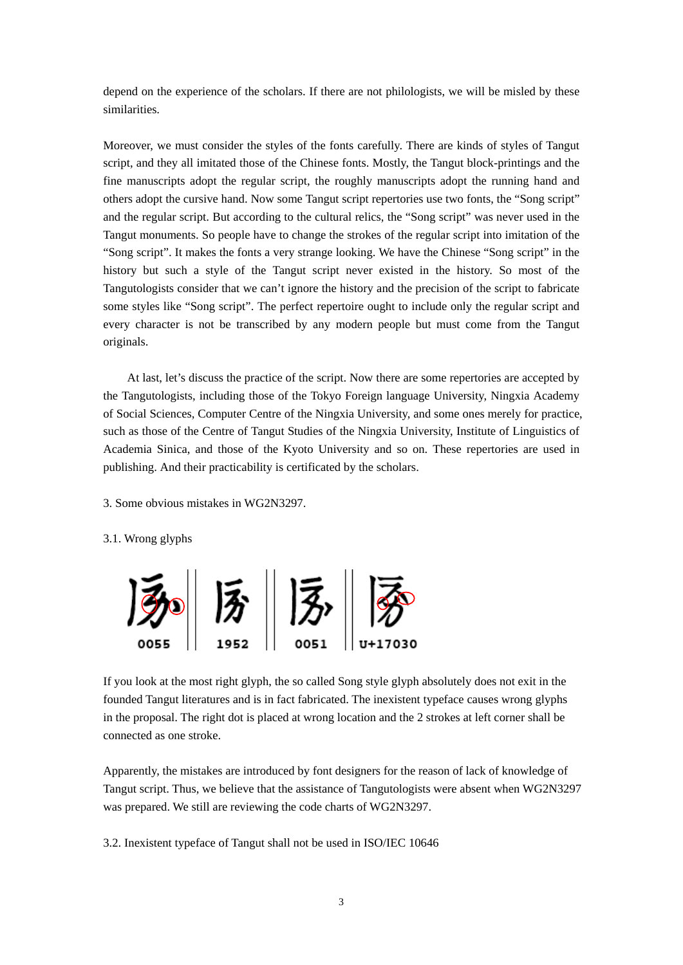depend on the experience of the scholars. If there are not philologists, we will be misled by these similarities.

Moreover, we must consider the styles of the fonts carefully. There are kinds of styles of Tangut script, and they all imitated those of the Chinese fonts. Mostly, the Tangut block-printings and the fine manuscripts adopt the regular script, the roughly manuscripts adopt the running hand and others adopt the cursive hand. Now some Tangut script repertories use two fonts, the "Song script" and the regular script. But according to the cultural relics, the "Song script" was never used in the Tangut monuments. So people have to change the strokes of the regular script into imitation of the "Song script". It makes the fonts a very strange looking. We have the Chinese "Song script" in the history but such a style of the Tangut script never existed in the history. So most of the Tangutologists consider that we can't ignore the history and the precision of the script to fabricate some styles like "Song script". The perfect repertoire ought to include only the regular script and every character is not be transcribed by any modern people but must come from the Tangut originals.

At last, let's discuss the practice of the script. Now there are some repertories are accepted by the Tangutologists, including those of the Tokyo Foreign language University, Ningxia Academy of Social Sciences, Computer Centre of the Ningxia University, and some ones merely for practice, such as those of the Centre of Tangut Studies of the Ningxia University, Institute of Linguistics of Academia Sinica, and those of the Kyoto University and so on. These repertories are used in publishing. And their practicability is certificated by the scholars.

3. Some obvious mistakes in WG2N3297.

#### 3.1. Wrong glyphs



If you look at the most right glyph, the so called Song style glyph absolutely does not exit in the founded Tangut literatures and is in fact fabricated. The inexistent typeface causes wrong glyphs in the proposal. The right dot is placed at wrong location and the 2 strokes at left corner shall be connected as one stroke.

Apparently, the mistakes are introduced by font designers for the reason of lack of knowledge of Tangut script. Thus, we believe that the assistance of Tangutologists were absent when WG2N3297 was prepared. We still are reviewing the code charts of WG2N3297.

3.2. Inexistent typeface of Tangut shall not be used in ISO/IEC 10646